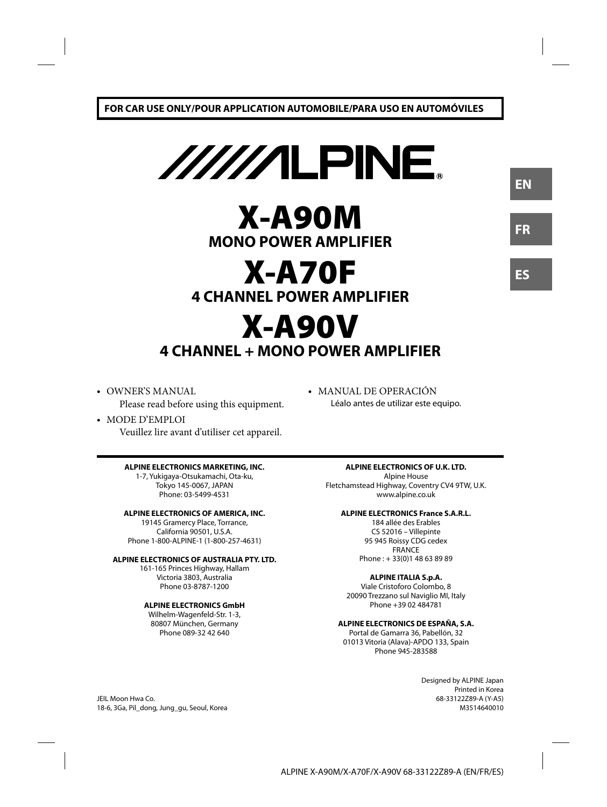

# **X-A90M MONO POWER AMPLIFIER**

# **X-A70F 4 CHANNEL POWER AMPLIFIER**

# **X-A90V 4 CHANNEL + MONO POWER AMPLIFIER**

**•** OWNER'S MANUAL Please read before using this equipment.

### **•** MODE D'EMPLOI

Veuillez lire avant d'utiliser cet appareil.

#### **ALPINE ELECTRONICS MARKETING, INC.**

1-7, Yukigaya-Otsukamachi, Ota-ku, Tokyo 145-0067, JAPAN Phone: 03-5499-4531

#### **ALPINE ELECTRONICS OF AMERICA, INC.**

19145 Gramercy Place, Torrance, California 90501, U.S.A. Phone 1-800-ALPINE-1 (1-800-257-4631)

#### **ALPINE ELECTRONICS OF AUSTRALIA PTY. LTD.**

161-165 Princes Highway, Hallam Victoria 3803, Australia Phone 03-8787-1200

#### **ALPINE ELECTRONICS GmbH**

Wilhelm-Wagenfeld-Str. 1-3, 80807 München, Germany Phone 089-32 42 640

**•** MANUAL DE OPERACIÓN Léalo antes de utilizar este equipo.

### **ALPINE ELECTRONICS OF U.K. LTD.**

Alpine House Fletchamstead Highway, Coventry CV4 9TW, U.K. www.alpine.co.uk

#### **ALPINE ELECTRONICS France S.A.R.L.**

184 allée des Erables CS 52016 – Villepinte 95 945 Roissy CDG cedex FRANCE Phone : + 33(0)1 48 63 89 89

#### **ALPINE ITALIA S.p.A.**

Viale Cristoforo Colombo, 8 20090 Trezzano sul Naviglio MI, Italy Phone +39 02 484781

### **ALPINE ELECTRONICS DE ESPAÑA, S.A.**

Portal de Gamarra 36, Pabellón, 32 01013 Vitoria (Alava)-APDO 133, Spain Phone 945-283588

> Designed by ALPINE Japan Printed in Korea 68-33122Z89-A (Y-A5) M3514640010

**ES**

**EN**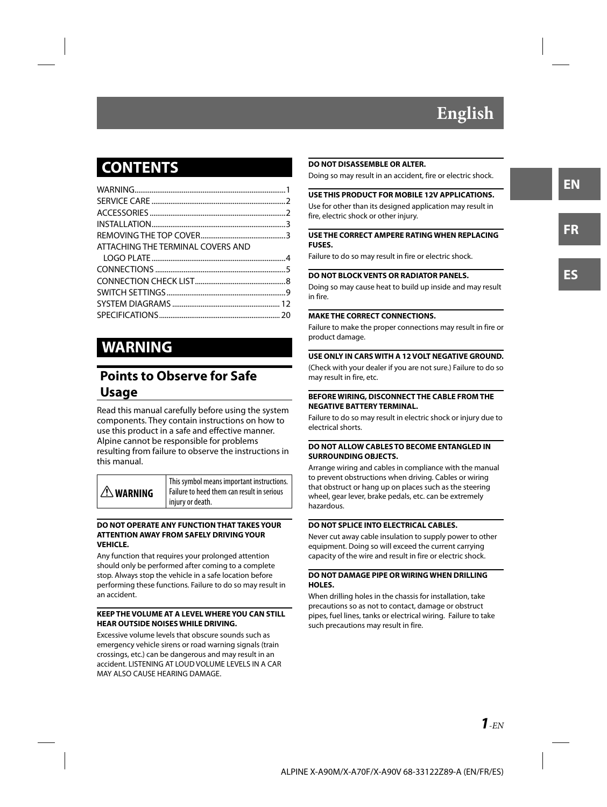# **English**

# **CONTENTS**

| ATTACHING THE TERMINAL COVERS AND |  |
|-----------------------------------|--|
|                                   |  |
|                                   |  |
|                                   |  |
|                                   |  |
|                                   |  |
|                                   |  |
|                                   |  |

# **WARNING**

# **Points to Observe for Safe Usage**

Read this manual carefully before using the system components. They contain instructions on how to use this product in a safe and effective manner. Alpine cannot be responsible for problems resulting from failure to observe the instructions in this manual.

| $\triangle$ WARNING | This symbol means important instructions.<br>Failure to heed them can result in serious |
|---------------------|-----------------------------------------------------------------------------------------|
|                     | injury or death.                                                                        |

#### **DO NOT OPERATE ANY FUNCTION THAT TAKES YOUR ATTENTION AWAY FROM SAFELY DRIVING YOUR VEHICLE.**

Any function that requires your prolonged attention should only be performed after coming to a complete stop. Always stop the vehicle in a safe location before performing these functions. Failure to do so may result in an accident.

#### **KEEP THE VOLUME AT A LEVEL WHERE YOU CAN STILL HEAR OUTSIDE NOISES WHILE DRIVING.**

Excessive volume levels that obscure sounds such as emergency vehicle sirens or road warning signals (train crossings, etc.) can be dangerous and may result in an accident. LISTENING AT LOUD VOLUME LEVELS IN A CAR MAY ALSO CAUSE HEARING DAMAGE.

#### **DO NOT DISASSEMBLE OR ALTER.**

Doing so may result in an accident, fire or electric shock.

#### **USE THIS PRODUCT FOR MOBILE 12V APPLICATIONS.**

Use for other than its designed application may result in fire, electric shock or other injury.

#### **USE THE CORRECT AMPERE RATING WHEN REPLACING FUSES.**

Failure to do so may result in fire or electric shock.

#### **DO NOT BLOCK VENTS OR RADIATOR PANELS.**

Doing so may cause heat to build up inside and may result in fire.

#### **MAKE THE CORRECT CONNECTIONS.**

Failure to make the proper connections may result in fire or product damage.

#### **USE ONLY IN CARS WITH A 12 VOLT NEGATIVE GROUND.**

(Check with your dealer if you are not sure.) Failure to do so may result in fire, etc.

#### **BEFORE WIRING, DISCONNECT THE CABLE FROM THE NEGATIVE BATTERY TERMINAL.**

Failure to do so may result in electric shock or injury due to electrical shorts.

#### **DO NOT ALLOW CABLES TO BECOME ENTANGLED IN SURROUNDING OBJECTS.**

Arrange wiring and cables in compliance with the manual to prevent obstructions when driving. Cables or wiring that obstruct or hang up on places such as the steering wheel, gear lever, brake pedals, etc. can be extremely hazardous.

#### **DO NOT SPLICE INTO ELECTRICAL CABLES.**

Never cut away cable insulation to supply power to other equipment. Doing so will exceed the current carrying capacity of the wire and result in fire or electric shock.

#### **DO NOT DAMAGE PIPE OR WIRING WHEN DRILLING HOLES.**

When drilling holes in the chassis for installation, take precautions so as not to contact, damage or obstruct pipes, fuel lines, tanks or electrical wiring. Failure to take such precautions may result in fire.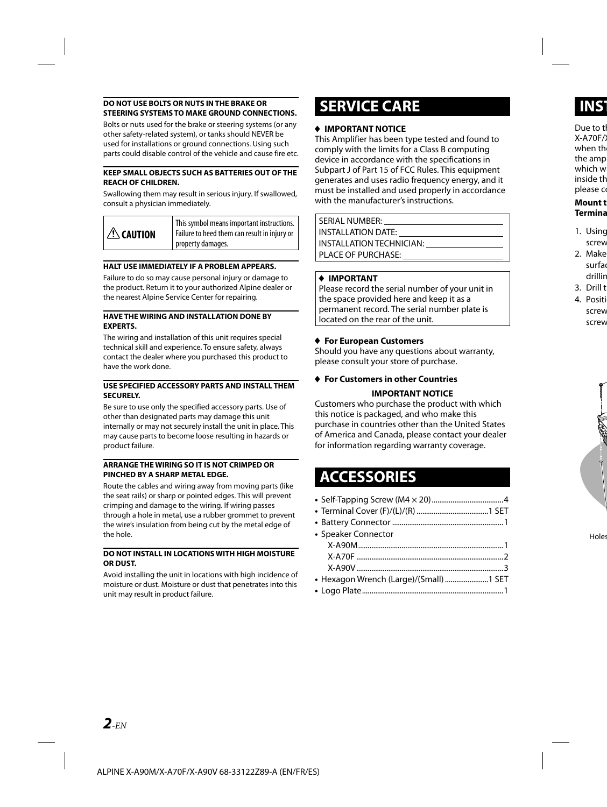#### **DO NOT USE BOLTS OR NUTS IN THE BRAKE OR STEERING SYSTEMS TO MAKE GROUND CONNECTIONS.**

Bolts or nuts used for the brake or steering systems (or any other safety-related system), or tanks should NEVER be used for installations or ground connections. Using such parts could disable control of the vehicle and cause fire etc.

#### **KEEP SMALL OBJECTS SUCH AS BATTERIES OUT OF THE REACH OF CHILDREN.**

Swallowing them may result in serious injury. If swallowed, consult a physician immediately.

| $ \triangle$ caution | This symbol means important instructions.<br>Failure to heed them can result in injury or<br>property damages. |
|----------------------|----------------------------------------------------------------------------------------------------------------|
|----------------------|----------------------------------------------------------------------------------------------------------------|

#### **HALT USE IMMEDIATELY IF A PROBLEM APPEARS.**

Failure to do so may cause personal injury or damage to the product. Return it to your authorized Alpine dealer or the nearest Alpine Service Center for repairing.

#### **HAVE THE WIRING AND INSTALLATION DONE BY EXPERTS.**

The wiring and installation of this unit requires special technical skill and experience. To ensure safety, always contact the dealer where you purchased this product to have the work done.

#### **USE SPECIFIED ACCESSORY PARTS AND INSTALL THEM SECURELY.**

Be sure to use only the specified accessory parts. Use of other than designated parts may damage this unit internally or may not securely install the unit in place. This may cause parts to become loose resulting in hazards or product failure.

#### **ARRANGE THE WIRING SO IT IS NOT CRIMPED OR PINCHED BY A SHARP METAL EDGE.**

Route the cables and wiring away from moving parts (like the seat rails) or sharp or pointed edges. This will prevent crimping and damage to the wiring. If wiring passes through a hole in metal, use a rubber grommet to prevent the wire's insulation from being cut by the metal edge of the hole.

#### **DO NOT INSTALL IN LOCATIONS WITH HIGH MOISTURE OR DUST.**

Avoid installing the unit in locations with high incidence of moisture or dust. Moisture or dust that penetrates into this unit may result in product failure.

# **SERVICE CARE**

#### **IMPORTANT NOTICE**

This Amplifier has been type tested and found to comply with the limits for a Class B computing device in accordance with the specifications in Subpart J of Part 15 of FCC Rules. This equipment generates and uses radio frequency energy, and it must be installed and used properly in accordance with the manufacturer's instructions.

SERIAL NUMBER: INSTALLATION DATE: INSTALLATION TECHNICIAN: PLACE OF PURCHASE:

#### **IMPORTANT**

Please record the serial number of your unit in the space provided here and keep it as a permanent record. The serial number plate is located on the rear of the unit.

#### **For European Customers**

Should you have any questions about warranty, please consult your store of purchase.

### **For Customers in other Countries IMPORTANT NOTICE**

Customers who purchase the product with which this notice is packaged, and who make this purchase in countries other than the United States of America and Canada, please contact your dealer for information regarding warranty coverage.

# **ACCESSORIES**

| • Speaker Connector                     |  |
|-----------------------------------------|--|
|                                         |  |
|                                         |  |
|                                         |  |
| • Hexagon Wrench (Large)/(Small)  1 SET |  |
|                                         |  |
|                                         |  |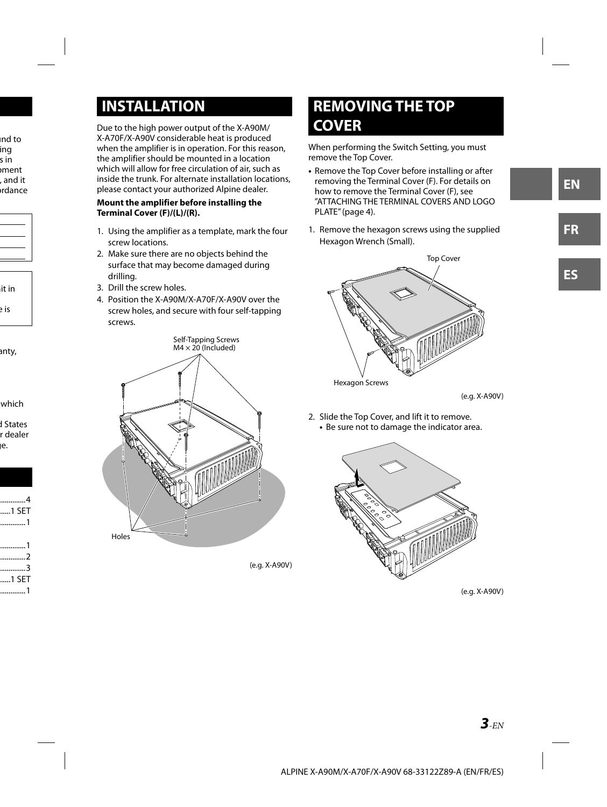# **INSTALLATION**

Due to the high power output of the X-A90M/ X-A70F/X-A90V considerable heat is produced when the amplifier is in operation. For this reason, the amplifier should be mounted in a location which will allow for free circulation of air, such as inside the trunk. For alternate installation locations, please contact your authorized Alpine dealer.

#### **Mount the amplifier before installing the Terminal Cover (F)/(L)/(R).**

- 1. Using the amplifier as a template, mark the four screw locations.
- 2. Make sure there are no objects behind the surface that may become damaged during drilling.
- 3. Drill the screw holes.
- 4. Position the X-A90M/X-A70F/X-A90V over the screw holes, and secure with four self-tapping screws.



(e.g. X-A90V)

# **REMOVING THE TOP COVER**

When performing the Switch Setting, you must remove the Top Cover.

- Remove the Top Cover before installing or after removing the Terminal Cover (F). For details on how to remove the Terminal Cover (F), see "ATTACHING THE TERMINAL COVERS AND LOGO PLATE" (page 4).
- 1. Remove the hexagon screws using the supplied Hexagon Wrench (Small).



(e.g. X-A90V)

2. Slide the Top Cover, and lift it to remove. **•** Be sure not to damage the indicator area.



(e.g. X-A90V)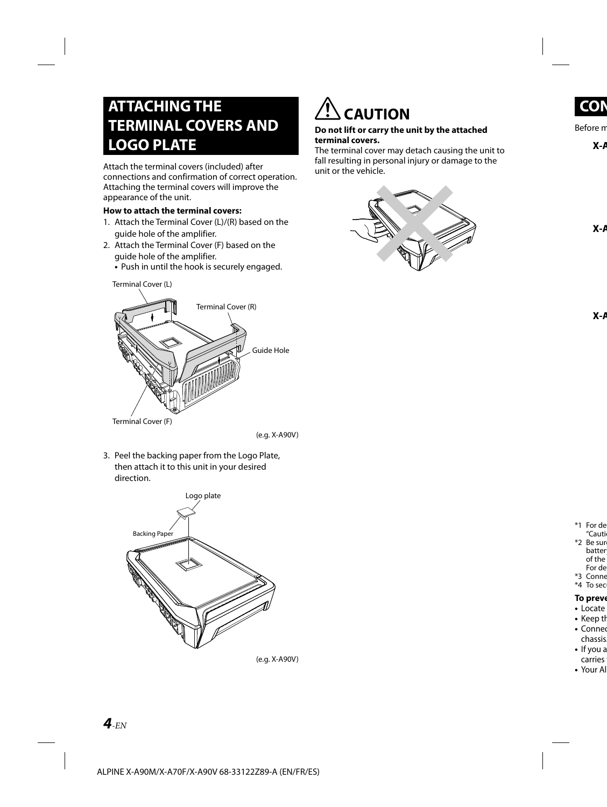# **ATTACHING THE TERMINAL COVERS AND LOGO PLATE**

Attach the terminal covers (included) after connections and confirmation of correct operation. Attaching the terminal covers will improve the appearance of the unit.

#### **How to attach the terminal covers:**

- 1. Attach the Terminal Cover (L)/(R) based on the guide hole of the amplifier.
- 2. Attach the Terminal Cover (F) based on the guide hole of the amplifier.
	- Push in until the hook is securely engaged.



 **CAUTION**

#### **Do not lift or carry the unit by the attached terminal covers.**

The terminal cover may detach causing the unit to fall resulting in personal injury or damage to the unit or the vehicle.



Terminal Cover (L)

(e.g. X-A90V)

3. Peel the backing paper from the Logo Plate, then attach it to this unit in your desired direction.



(e.g. X-A90V)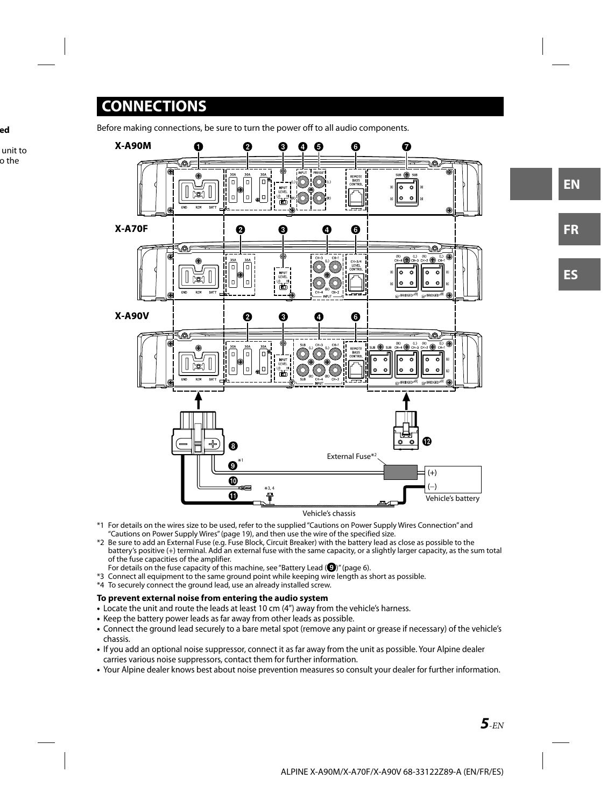# **CONNECTIONS**

Before making connections, be sure to turn the power off to all audio components.



- \*1 For details on the wires size to be used, refer to the supplied "Cautions on Power Supply Wires Connection" and "Cautions on Power Supply Wires" (page 19), and then use the wire of the specified size.
- \*2 Be sure to add an External Fuse (e.g. Fuse Block, Circuit Breaker) with the battery lead as close as possible to the battery's positive (+) terminal. Add an external fuse with the same capacity, or a slightly larger capacity, as the sum total of the fuse capacities of the amplifier.
- For details on the fuse capacity of this machine, see "Battery Lead  $(①)$ " (page 6).
- \*3 Connect all equipment to the same ground point while keeping wire length as short as possible.
- \*4 To securely connect the ground lead, use an already installed screw.

#### **To prevent external noise from entering the audio system**

- Locate the unit and route the leads at least 10 cm (4") away from the vehicle's harness.
- Keep the battery power leads as far away from other leads as possible.
- Connect the ground lead securely to a bare metal spot (remove any paint or grease if necessary) of the vehicle's chassis.
- If you add an optional noise suppressor, connect it as far away from the unit as possible. Your Alpine dealer carries various noise suppressors, contact them for further information.
- Your Alpine dealer knows best about noise prevention measures so consult your dealer for further information.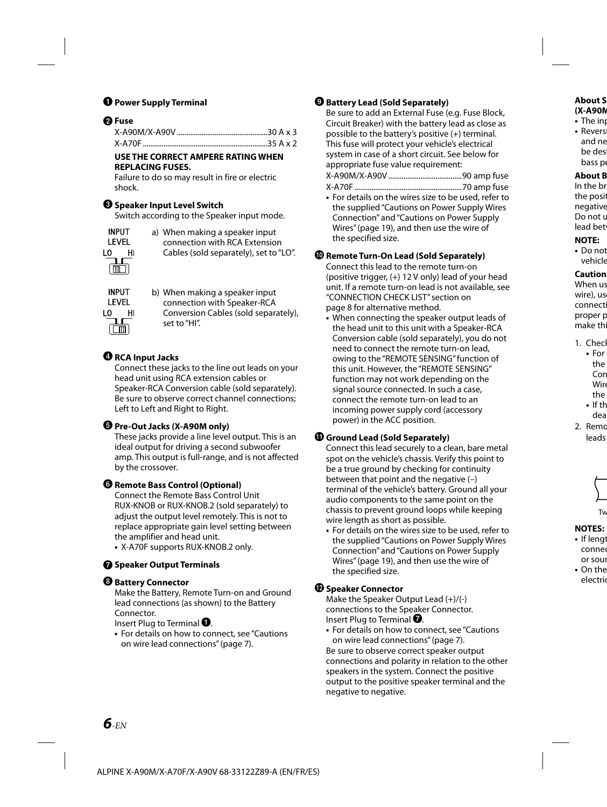# **Q** Power Supply Terminal

# **Fuse**

#### **USE THE CORRECT AMPERE RATING WHEN REPLACING FUSES.**

Failure to do so may result in fire or electric shock.

### **<sup>6</sup>** Speaker Input Level Switch

Switch according to the Speaker input mode.

| INPUT          |    |  |  |
|----------------|----|--|--|
| LEVEL          |    |  |  |
| ıο             | HI |  |  |
| $\blacksquare$ |    |  |  |

a) When making a speaker input connection with RCA Extension Cables (sold separately), set to "LO".

| INPUT    | b) When making a speaker input       |
|----------|--------------------------------------|
| LEVEL    | connection with Speaker-RCA          |
| LO<br>нι | Conversion Cables (sold separately), |
| $\Box$   | set to "HI".                         |

# **<sup>***O***</sup>** RCA Input Jacks

Connect these jacks to the line out leads on your head unit using RCA extension cables or Speaker-RCA Conversion cable (sold separately). Be sure to observe correct channel connections; Left to Left and Right to Right.

### $\Theta$  Pre-Out Jacks (X-A90M only)

These jacks provide a line level output. This is an ideal output for driving a second subwoofer amp. This output is full-range, and is not affected by the crossover.

#### **Remote Bass Control (Optional)**

Connect the Remote Bass Control Unit RUX-KNOB or RUX-KNOB.2 (sold separately) to adjust the output level remotely. This is not to replace appropriate gain level setting between the amplifier and head unit.

**•** X-A70F supports RUX-KNOB.2 only.

### **<sup>6</sup>** Speaker Output Terminals

### *<u>B* Battery Connector</u>

Make the Battery, Remote Turn-on and Ground lead connections (as shown) to the Battery Connector.

Insert Plug to Terminal  $\mathbf 0$ .

**•** For details on how to connect, see "Cautions on wire lead connections" (page 7).

# **Battery Lead (Sold Separately)**

Be sure to add an External Fuse (e.g. Fuse Block, Circuit Breaker) with the battery lead as close as possible to the battery's positive (+) terminal. This fuse will protect your vehicle's electrical system in case of a short circuit. See below for appropriate fuse value requirement:

X-A90M/X-A90V .......................................90 amp fuse X-A70F .........................................................70 amp fuse

**•** For details on the wires size to be used, refer to the supplied "Cautions on Power Supply Wires Connection" and "Cautions on Power Supply Wires" (page 19), and then use the wire of the specified size.

### **Remote Turn-On Lead (Sold Separately)**

Connect this lead to the remote turn-on (positive trigger,  $(+)$  12 V only) lead of your head unit. If a remote turn-on lead is not available, see "CONNECTION CHECK LIST" section on page 8 for alternative method.

**•** When connecting the speaker output leads of the head unit to this unit with a Speaker-RCA Conversion cable (sold separately), you do not need to connect the remote turn-on lead, owing to the "REMOTE SENSING" function of this unit. However, the "REMOTE SENSING" function may not work depending on the signal source connected. In such a case, connect the remote turn-on lead to an incoming power supply cord (accessory power) in the ACC position.

# **Ground Lead (Sold Separately)**

Connect this lead securely to a clean, bare metal spot on the vehicle's chassis. Verify this point to be a true ground by checking for continuity between that point and the negative (–) terminal of the vehicle's battery. Ground all your audio components to the same point on the chassis to prevent ground loops while keeping wire length as short as possible.

**•** For details on the wires size to be used, refer to the supplied "Cautions on Power Supply Wires Connection" and "Cautions on Power Supply Wires" (page 19), and then use the wire of the specified size.

### **Speaker Connector**

Make the Speaker Output Lead (+)/(-) connections to the Speaker Connector. Insert Plug to Terminal  $\bullet$ .

**•** For details on how to connect, see "Cautions on wire lead connections" (page 7). Be sure to observe correct speaker output connections and polarity in relation to the other speakers in the system. Connect the positive output to the positive speaker terminal and the negative to negative.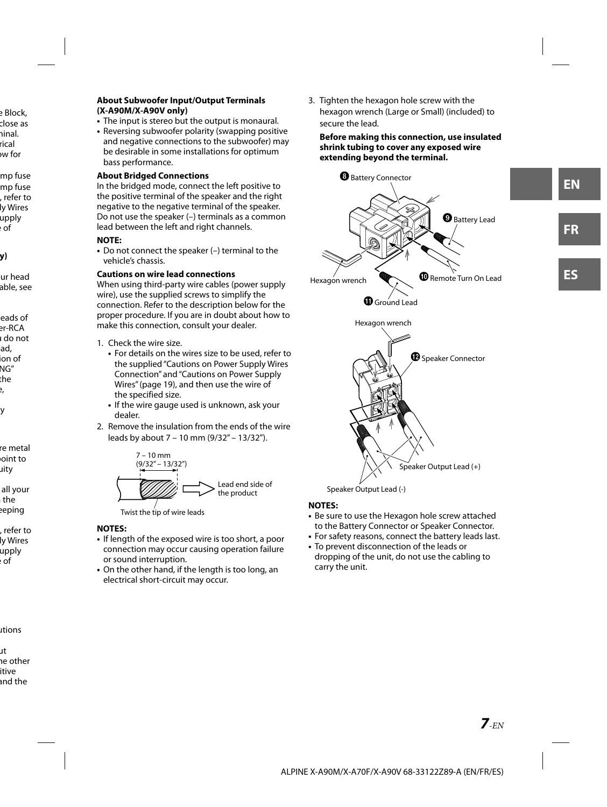#### **About Subwoofer Input/Output Terminals (X-A90M/X-A90V only)**

- The input is stereo but the output is monaural.
- Reversing subwoofer polarity (swapping positive and negative connections to the subwoofer) may be desirable in some installations for optimum bass performance.

#### **About Bridged Connections**

In the bridged mode, connect the left positive to the positive terminal of the speaker and the right negative to the negative terminal of the speaker. Do not use the speaker (–) terminals as a common lead between the left and right channels.

### **NOTE:**

**•** Do not connect the speaker (–) terminal to the vehicle's chassis.

### **Cautions on wire lead connections**

When using third-party wire cables (power supply wire), use the supplied screws to simplify the connection. Refer to the description below for the proper procedure. If you are in doubt about how to make this connection, consult your dealer.

- 1. Check the wire size.
	- For details on the wires size to be used, refer to the supplied "Cautions on Power Supply Wires Connection" and "Cautions on Power Supply Wires" (page 19), and then use the wire of the specified size.
	- If the wire gauge used is unknown, ask your dealer.
- 2. Remove the insulation from the ends of the wire leads by about 7 – 10 mm (9/32" – 13/32").



### **NOTES:**

- If length of the exposed wire is too short, a poor connection may occur causing operation failure or sound interruption.
- On the other hand, if the length is too long, an electrical short-circuit may occur.

3. Tighten the hexagon hole screw with the hexagon wrench (Large or Small) (included) to secure the lead.

#### **Before making this connection, use insulated shrink tubing to cover any exposed wire extending beyond the terminal.**



#### **NOTES:**

- Be sure to use the Hexagon hole screw attached to the Battery Connector or Speaker Connector.
- For safety reasons, connect the battery leads last.
- To prevent disconnection of the leads or dropping of the unit, do not use the cabling to carry the unit.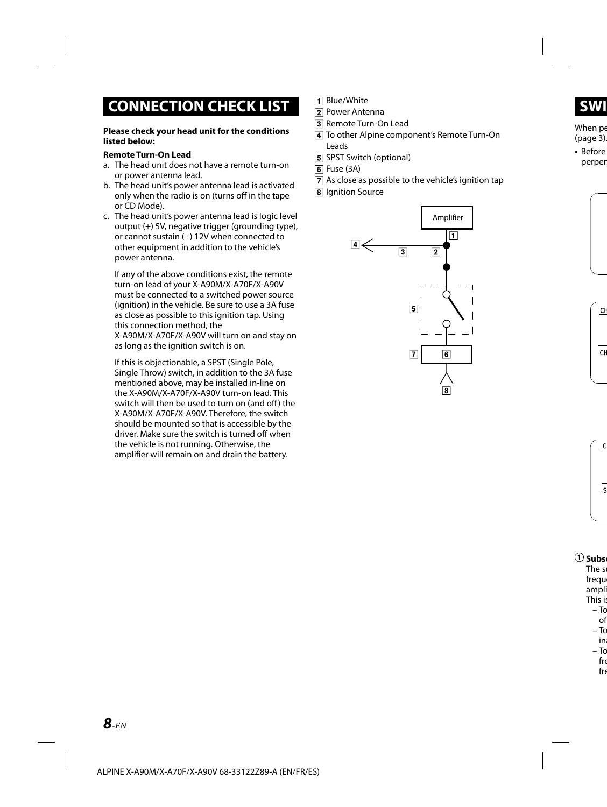# **CONNECTION CHECK LIST**

#### **Please check your head unit for the conditions listed below:**

#### **Remote Turn-On Lead**

- a. The head unit does not have a remote turn-on or power antenna lead.
- b. The head unit's power antenna lead is activated only when the radio is on (turns off in the tape or CD Mode).
- c. The head unit's power antenna lead is logic level output  $(+)$  5V, negative trigger (grounding type), or cannot sustain (+) 12V when connected to other equipment in addition to the vehicle's power antenna.

If any of the above conditions exist, the remote turn-on lead of your X-A90M/X-A70F/X-A90V must be connected to a switched power source (ignition) in the vehicle. Be sure to use a 3A fuse as close as possible to this ignition tap. Using this connection method, the X-A90M/X-A70F/X-A90V will turn on and stay on as long as the ignition switch is on.

If this is objectionable, a SPST (Single Pole, Single Throw) switch, in addition to the 3A fuse mentioned above, may be installed in-line on the X-A90M/X-A70F/X-A90V turn-on lead. This switch will then be used to turn on (and off) the X-A90M/X-A70F/X-A90V. Therefore, the switch should be mounted so that is accessible by the driver. Make sure the switch is turned off when the vehicle is not running. Otherwise, the amplifier will remain on and drain the battery.

- **T** Blue/White
- **Power Antenna**
- 3 Remote Turn-On Lead
- To other Alpine component's Remote Turn-On Leads
- 5 SPST Switch (optional)
- $6$  Fuse (3A)
- As close as possible to the vehicle's ignition tap
- **8** Ignition Source

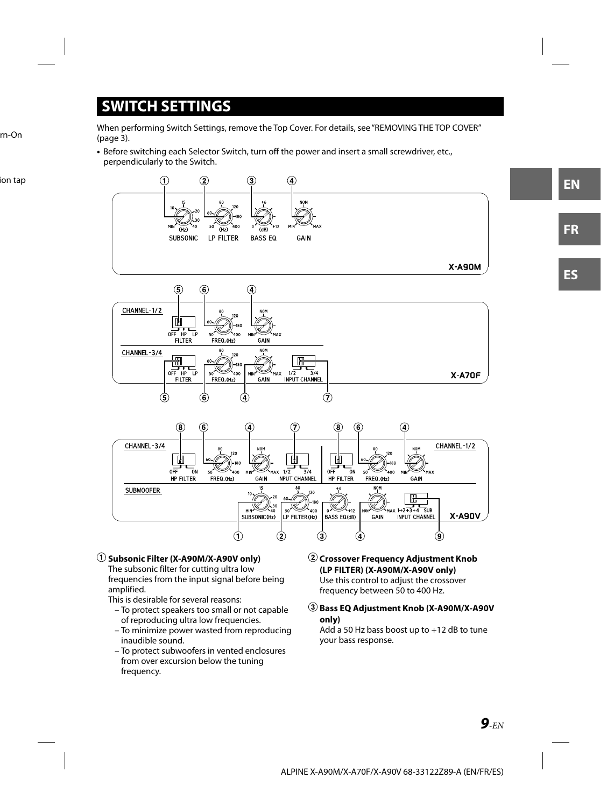# **SWITCH SETTINGS**

When performing Switch Settings, remove the Top Cover. For details, see "REMOVING THE TOP COVER" (page 3).

**•** Before switching each Selector Switch, turn off the power and insert a small screwdriver, etc., perpendicularly to the Switch.



 **Subsonic Filter (X-A90M/X-A90V only)** The subsonic filter for cutting ultra low frequencies from the input signal before being amplified.

This is desirable for several reasons:

- To protect speakers too small or not capable of reproducing ultra low frequencies.
- To minimize power wasted from reproducing inaudible sound.
- To protect subwoofers in vented enclosures from over excursion below the tuning frequency.

 **Crossover Frequency Adjustment Knob (LP FILTER) (X-A90M/X-A90V only)** Use this control to adjust the crossover frequency between 50 to 400 Hz.

 **Bass EQ Adjustment Knob (X-A90M/X-A90V only)**

Add a 50 Hz bass boost up to +12 dB to tune your bass response.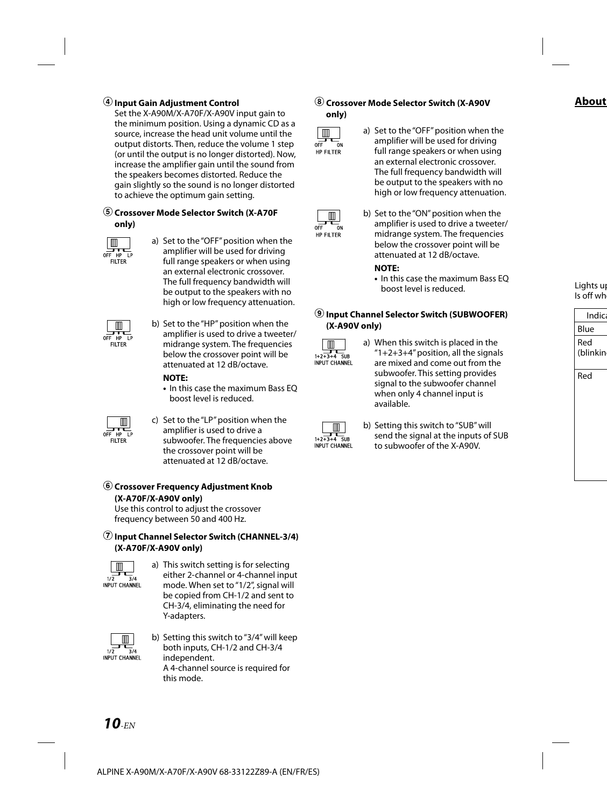# **Input Gain Adjustment Control**

Set the X-A90M/X-A70F/X-A90V input gain to the minimum position. Using a dynamic CD as a source, increase the head unit volume until the output distorts. Then, reduce the volume 1 step (or until the output is no longer distorted). Now, increase the amplifier gain until the sound from the speakers becomes distorted. Reduce the gain slightly so the sound is no longer distorted to achieve the optimum gain setting.

# **Crossover Mode Selector Switch (X-A70F**

#### **only)**



a) Set to the "OFF" position when the amplifier will be used for driving full range speakers or when using an external electronic crossover. The full frequency bandwidth will be output to the speakers with no high or low frequency attenuation.



b) Set to the "HP" position when the amplifier is used to drive a tweeter/ midrange system. The frequencies below the crossover point will be attenuated at 12 dB/octave.

#### **NOTE:**

**•** In this case the maximum Bass EQ boost level is reduced.

m T OFF HP LP .<br>Filter

c) Set to the "LP" position when the amplifier is used to drive a subwoofer. The frequencies above the crossover point will be attenuated at 12 dB/octave.

# **Crossover Frequency Adjustment Knob (X-A70F/X-A90V only)**

Use this control to adjust the crossover frequency between 50 and 400 Hz.

### **Input Channel Selector Switch (CHANNEL-3/4) (X-A70F/X-A90V only)**



a) This switch setting is for selecting either 2-channel or 4-channel input mode. When set to "1/2", signal will be copied from CH-1/2 and sent to CH-3/4, eliminating the need for Y-adapters.



b) Setting this switch to "3/4" will keep both inputs, CH-1/2 and CH-3/4 independent. A 4-channel source is required for this mode.

 **Crossover Mode Selector Switch (X-A90V only)**



a) Set to the "OFF" position when the amplifier will be used for driving full range speakers or when using an external electronic crossover. The full frequency bandwidth will be output to the speakers with no high or low frequency attenuation.



b) Set to the "ON" position when the amplifier is used to drive a tweeter/ midrange system. The frequencies below the crossover point will be attenuated at 12 dB/octave.

### **NOTE:**

**•** In this case the maximum Bass EQ boost level is reduced.

# **Input Channel Selector Switch (SUBWOOFER) (X-A90V only)**



a) When this switch is placed in the "1+2+3+4" position, all the signals are mixed and come out from the subwoofer. This setting provides signal to the subwoofer channel when only 4 channel input is available.



b) Setting this switch to "SUB" will send the signal at the inputs of SUB to subwoofer of the X-A90V.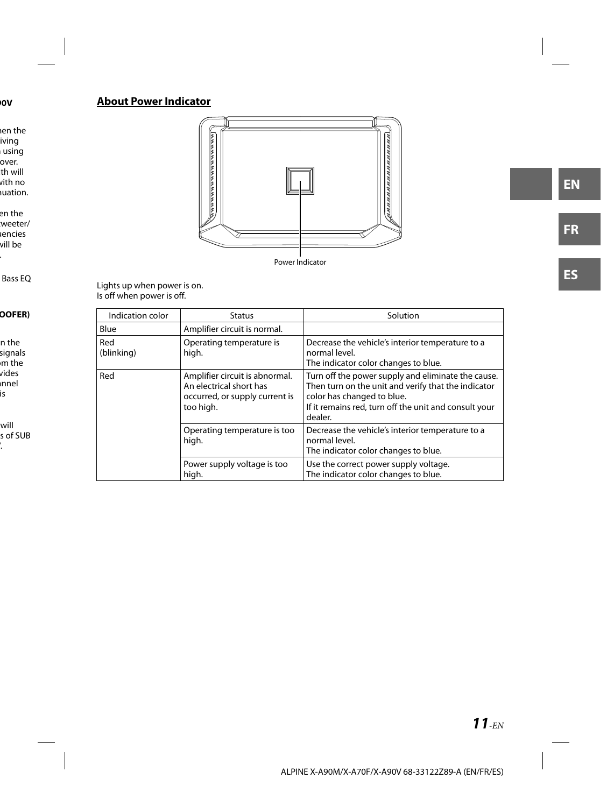# **About Power Indicator**



Lights up when power is on. Is off when power is off.

| Indication color  | <b>Status</b>                                                                                            | Solution                                                                                                                                                                                                    |  |
|-------------------|----------------------------------------------------------------------------------------------------------|-------------------------------------------------------------------------------------------------------------------------------------------------------------------------------------------------------------|--|
| Blue              | Amplifier circuit is normal.                                                                             |                                                                                                                                                                                                             |  |
| Red<br>(blinking) | Operating temperature is<br>high.                                                                        | Decrease the vehicle's interior temperature to a<br>normal level.<br>The indicator color changes to blue.                                                                                                   |  |
| Red               | Amplifier circuit is abnormal.<br>An electrical short has<br>occurred, or supply current is<br>too high. | Turn off the power supply and eliminate the cause.<br>Then turn on the unit and verify that the indicator<br>color has changed to blue.<br>If it remains red, turn off the unit and consult your<br>dealer. |  |
|                   | Operating temperature is too<br>high.                                                                    | Decrease the vehicle's interior temperature to a<br>normal level.<br>The indicator color changes to blue.                                                                                                   |  |
|                   | Power supply voltage is too<br>high.                                                                     | Use the correct power supply voltage.<br>The indicator color changes to blue.                                                                                                                               |  |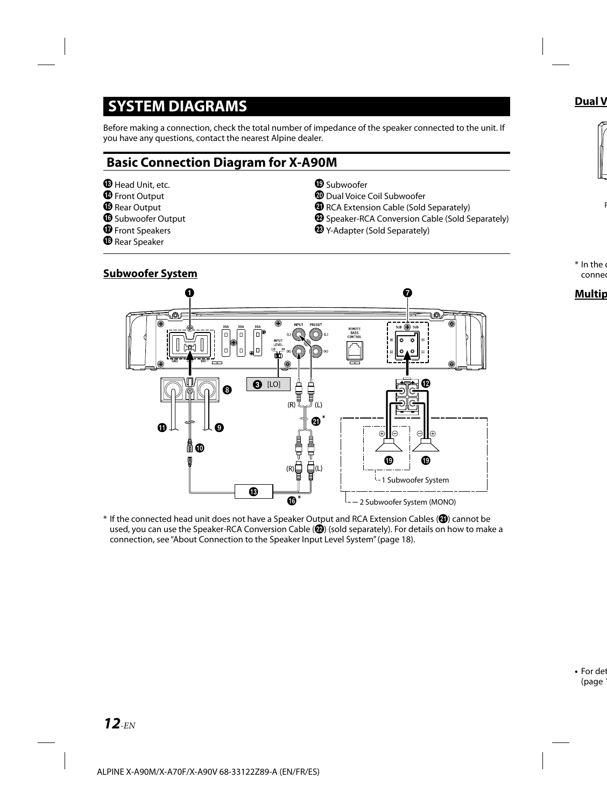# **SYSTEM DIAGRAMS**

Before making a connection, check the total number of impedance of the speaker connected to the unit. If you have any questions, contact the nearest Alpine dealer.

# **Basic Connection Diagram for X-A90M**

- **B** Head Unit, etc.
- **O** Front Output
- **B** Rear Output
- **C** Subwoofer Output

 **Subwoofer System**

- *O* Front Speakers
- <sup>1</sup> Rear Speaker

# <sup>**<sup>®</sup>** Subwoofer</sup>

- Dual Voice Coil Subwoofer
- **<sup>4</sup>** RCA Extension Cable (Sold Separately)
- **<sup>2</sup>** Speaker-RCA Conversion Cable (Sold Separately)
- Y-Adapter (Sold Separately)



\* If the connected head unit does not have a Speaker Output and RCA Extension Cables (4) cannot be used, you can use the Speaker-RCA Conversion Cable (<sup>2</sup>) (sold separately). For details on how to make a connection, see "About Connection to the Speaker Input Level System" (page 18).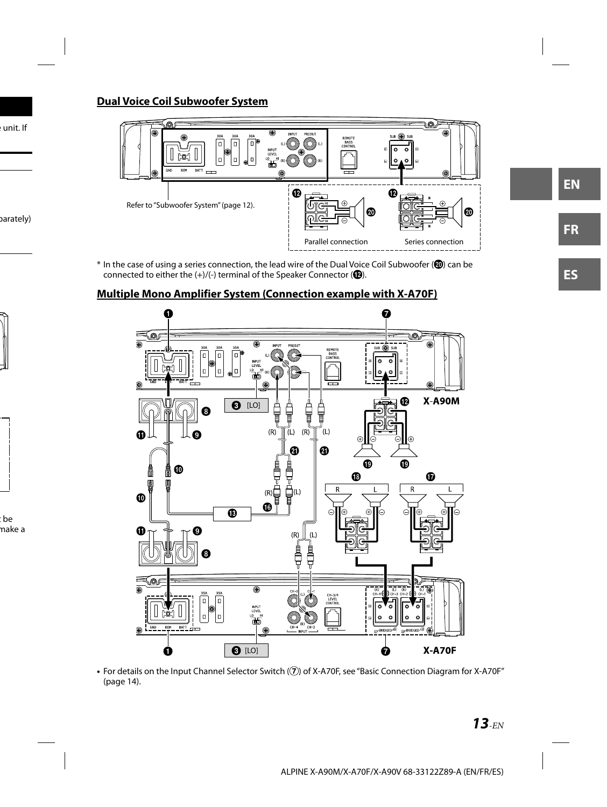# **Dual Voice Coil Subwoofer System**



\* In the case of using a series connection, the lead wire of the Dual Voice Coil Subwoofer (@) can be connected to either the  $(+)/(-)$  terminal of the Speaker Connector ( $\circled{D}$ ).

# **Multiple Mono Amplifier System (Connection example with X-A70F)**



• For details on the Input Channel Selector Switch ((7)) of X-A70F, see "Basic Connection Diagram for X-A70F" (page 14).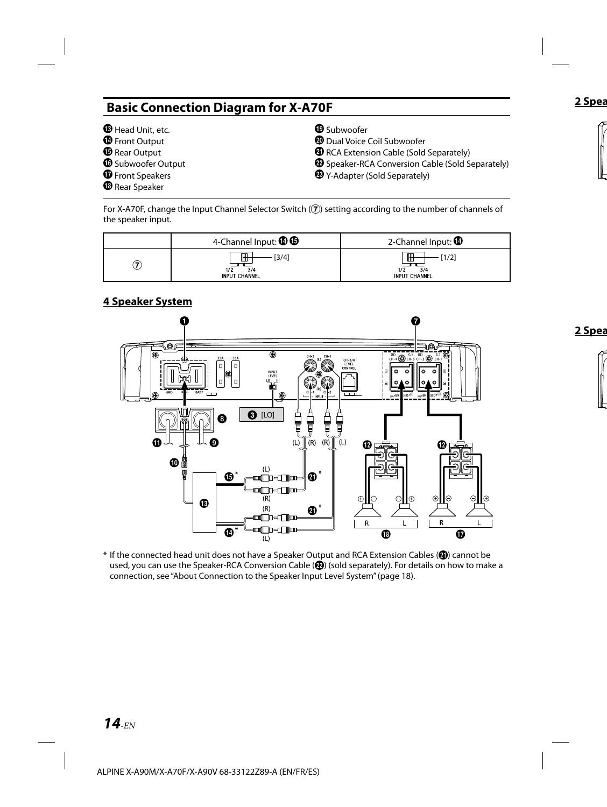# **Basic Connection Diagram for X-A70F**

- **B** Head Unit, etc. *O* Front Output **B** Rear Output
- **B** Subwoofer Output
- *O* Front Speakers
- <sup>®</sup> Rear Speaker
- <sup>**<sup>®</sup>** Subwoofer</sup>
- Dual Voice Coil Subwoofer
- **<sup>4</sup>** RCA Extension Cable (Sold Separately)
- <sup>2</sup> Speaker-RCA Conversion Cable (Sold Separately)
- Y-Adapter (Sold Separately)

For X-A70F, change the Input Channel Selector Switch  $(7)$  setting according to the number of channels of the speaker input.

|   | 4-Channel Input: $\mathbf{\mathbb{O}}\mathbf{\mathbb{G}}$ | 2-Channel Input: $\mathbf \mathbf \Theta$         |  |
|---|-----------------------------------------------------------|---------------------------------------------------|--|
| Z | Ш<br>3/4<br>ш<br>3/4<br>1/2<br><b>INPUT CHANNEL</b>       | $\mathbb H$<br>1/2<br>3/4<br><b>INPUT CHANNEL</b> |  |

# **4 Speaker System**



\* If the connected head unit does not have a Speaker Output and RCA Extension Cables (@) cannot be used, you can use the Speaker-RCA Conversion Cable (<sup>29</sup>) (sold separately). For details on how to make a connection, see "About Connection to the Speaker Input Level System" (page 18).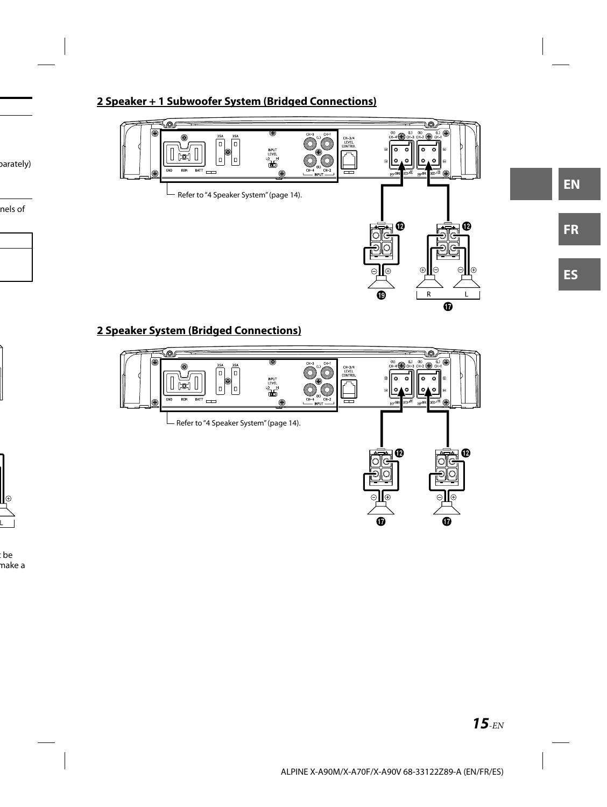# **2 Speaker + 1 Subwoofer System (Bridged Connections)**



# **2 Speaker System (Bridged Connections)**

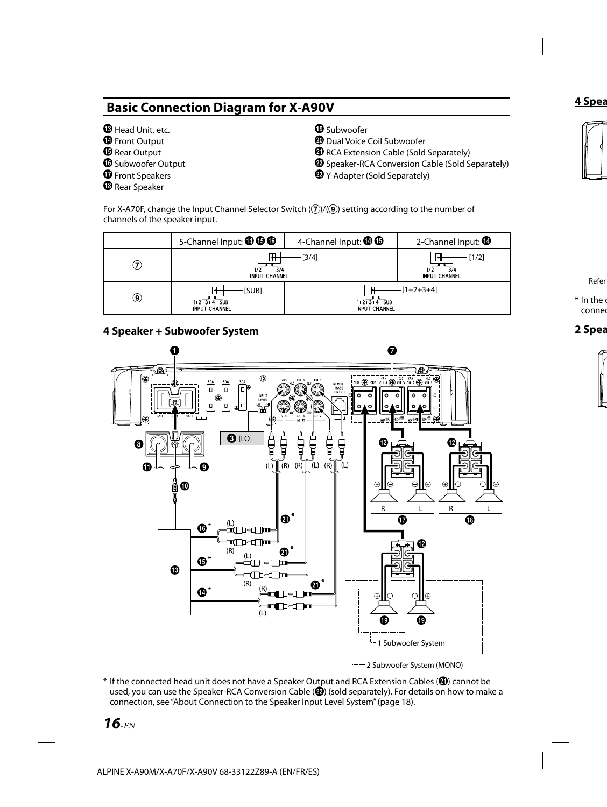# **Basic Connection Diagram for X-A90V**

- **B** Head Unit, etc. **O** Front Output
- **B** Rear Output
- **B** Subwoofer Output
- *O* Front Speakers
- <sup>®</sup> Rear Speaker
- <sup>**<sup>®</sup>** Subwoofer</sup>
- Dual Voice Coil Subwoofer
- **<sup>4</sup>** RCA Extension Cable (Sold Separately)
- Speaker-RCA Conversion Cable (Sold Separately)
- Y-Adapter (Sold Separately)

For X-A70F, change the Input Channel Selector Switch  $(\overline{7})/(\overline{9})$  setting according to the number of channels of the speaker input.



# **4 Speaker + Subwoofer System**



\* If the connected head unit does not have a Speaker Output and RCA Extension Cables (4) cannot be used, you can use the Speaker-RCA Conversion Cable (<sup>2</sup>) (sold separately). For details on how to make a connection, see "About Connection to the Speaker Input Level System" (page 18).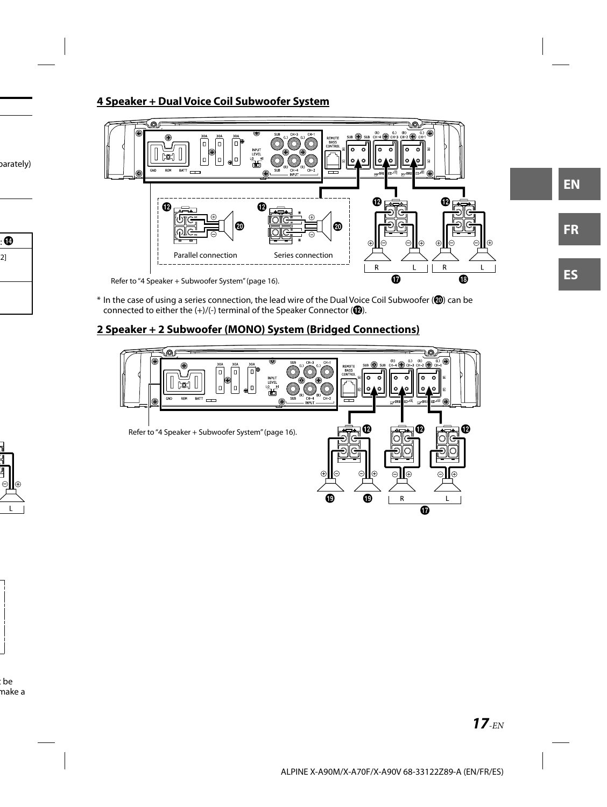# **4 Speaker + Dual Voice Coil Subwoofer System**



 $*$  In the case of using a series connection, the lead wire of the Dual Voice Coil Subwoofer ( $\circled{2}$ ) can be connected to either the  $(+)/(-)$  terminal of the Speaker Connector ( $\circled{2}$ ).

# **2 Speaker + 2 Subwoofer (MONO) System (Bridged Connections)**

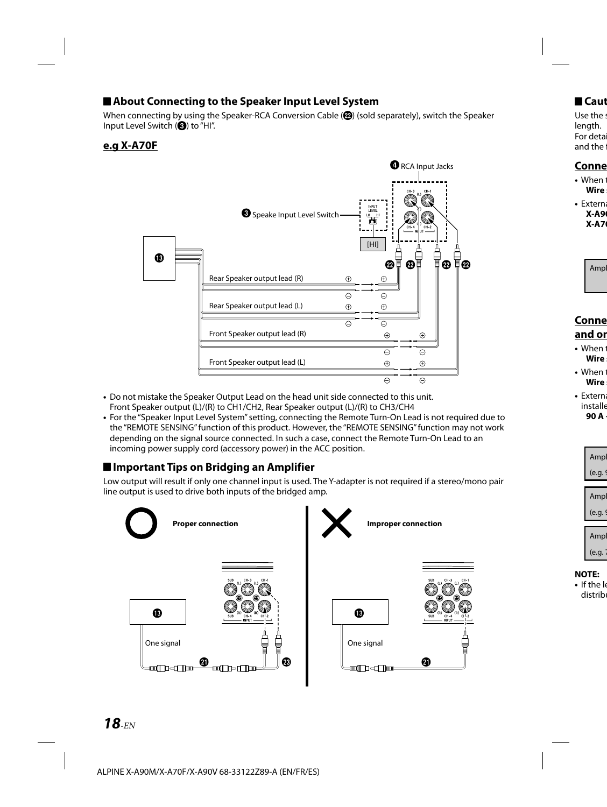# **About Connecting to the Speaker Input Level System**

When connecting by using the Speaker-RCA Conversion Cable  $( \mathbf{Q} )$  (sold separately), switch the Speaker Input Level Switch  $\left( \bigodot \right)$  to "HI".

# **e.g X-A70F**



- Do not mistake the Speaker Output Lead on the head unit side connected to this unit. Front Speaker output (L)/(R) to CH1/CH2, Rear Speaker output (L)/(R) to CH3/CH4
- For the "Speaker Input Level System" setting, connecting the Remote Turn-On Lead is not required due to the "REMOTE SENSING" function of this product. However, the "REMOTE SENSING" function may not work depending on the signal source connected. In such a case, connect the Remote Turn-On Lead to an incoming power supply cord (accessory power) in the ACC position.

# ■ Important Tips on Bridging an Amplifier

Low output will result if only one channel input is used. The Y-adapter is not required if a stereo/mono pair line output is used to drive both inputs of the bridged amp.

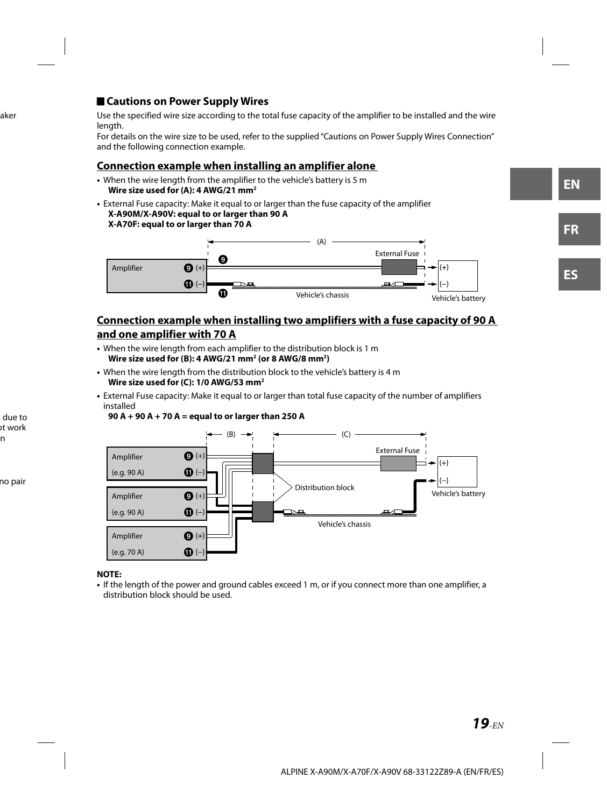# **Cautions on Power Supply Wires**

Use the specified wire size according to the total fuse capacity of the amplifier to be installed and the wire length.

For details on the wire size to be used, refer to the supplied "Cautions on Power Supply Wires Connection" and the following connection example.

# **Connection example when installing an amplifier alone**

- When the wire length from the amplifier to the vehicle's battery is 5 m **Wire size used for (A): 4 AWG/21 mm2**
- External Fuse capacity: Make it equal to or larger than the fuse capacity of the amplifier **X-A90M/X-A90V: equal to or larger than 90 A X-A70F: equal to or larger than 70 A**



# **Connection example when installing two amplifiers with a fuse capacity of 90 A and one amplifier with 70 A**

- When the wire length from each amplifier to the distribution block is 1 m **Wire size used for (B): 4 AWG/21 mm2 (or 8 AWG/8 mm2 )**
- When the wire length from the distribution block to the vehicle's battery is 4 m **Wire size used for (C): 1/0 AWG/53 mm2**
- External Fuse capacity: Make it equal to or larger than total fuse capacity of the number of amplifiers installed





### **NOTE:**

**•** If the length of the power and ground cables exceed 1 m, or if you connect more than one amplifier, a distribution block should be used.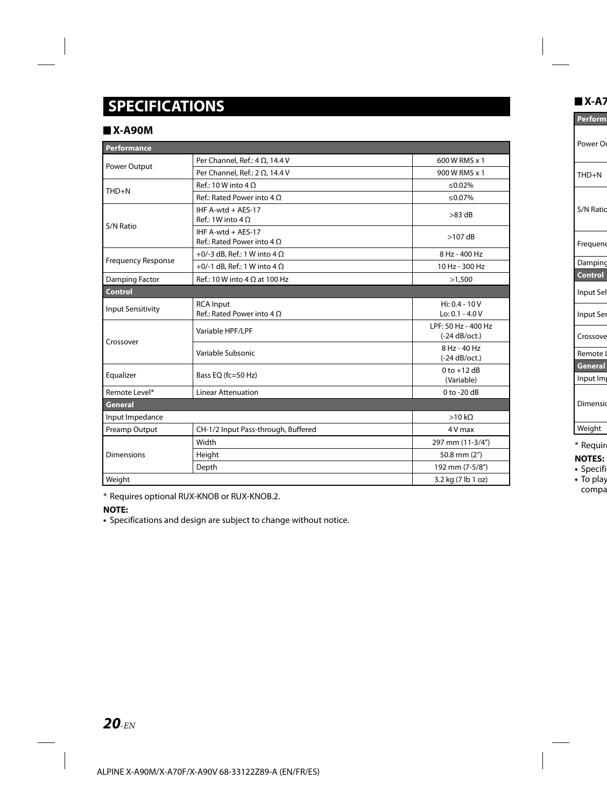# **SPECIFICATIONS**

# **X-A90M**

| Performance               |                                                         |                                        |
|---------------------------|---------------------------------------------------------|----------------------------------------|
| Power Output              | Per Channel, Ref.: $4 \Omega$ , 14.4 V                  | 600 W RMS x 1                          |
|                           | Per Channel, Ref.: $2 \Omega$ , 14.4 V                  | 900 W RMS x 1                          |
|                           | Ref.: 10 W into $4 \Omega$                              | $< 0.02\%$                             |
| THD+N                     | Ref.: Rated Power into $4 \Omega$                       | ≤0.07%                                 |
| S/N Ratio                 | IHF A-wtd + AES-17<br>$Ref: 1W$ into $4O$               | $>83$ dB                               |
|                           | IHF A-wtd + AES-17<br>Ref.: Rated Power into $4 \Omega$ | $>107$ dB                              |
| <b>Frequency Response</b> | +0/-3 dB, Ref.: 1 W into 4 $\Omega$                     | 8 Hz - 400 Hz                          |
|                           | +0/-1 dB, Ref.: 1 W into 4 $\Omega$                     | 10 Hz - 300 Hz                         |
| Damping Factor            | $Ref.: 10 W$ into $4 \Omega$ at 100 Hz                  | >1,500                                 |
| Control                   |                                                         |                                        |
| <b>Input Sensitivity</b>  | <b>RCA Input</b><br>Ref.: Rated Power into $4 \Omega$   | $Hi: 0.4 - 10 V$<br>$Lo: 0.1 - 4.0V$   |
| Crossover                 | Variable HPF/LPF                                        | LPF: 50 Hz - 400 Hz<br>$(-24 dB/oct.)$ |
|                           | Variable Subsonic                                       | 8 Hz - 40 Hz<br>$(-24 dB/oct.)$        |
| Equalizer                 | Bass EQ (fc=50 Hz)                                      | $0$ to $+12$ dB<br>(Variable)          |
| Remote Level*             | <b>Linear Attenuation</b>                               | $0$ to -20 dB                          |
| General                   |                                                         |                                        |
| Input Impedance           |                                                         | >10 k <sub>Q</sub>                     |
| Preamp Output             | CH-1/2 Input Pass-through, Buffered                     | 4 V max                                |
|                           | Width                                                   | 297 mm (11-3/4")                       |
| <b>Dimensions</b>         | Height                                                  | 50.8 mm (2")                           |
|                           | Depth                                                   | 192 mm (7-5/8")                        |
| Weight                    |                                                         | 3.2 kg (7 lb 1 oz)                     |

\* Requires optional RUX-KNOB or RUX-KNOB.2.

### **NOTE:**

**•** Specifications and design are subject to change without notice.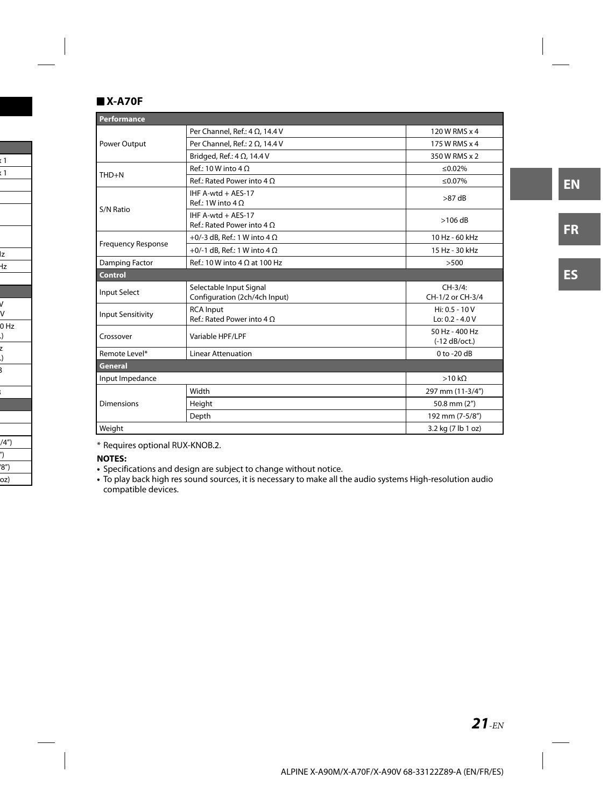# **X-A70F**

| Performance               |                                                          |                                       |
|---------------------------|----------------------------------------------------------|---------------------------------------|
| Power Output              | Per Channel, Ref.: 4 $\Omega$ , 14.4 V                   | 120 W RMS x 4                         |
|                           | Per Channel, Ref.: $2 \Omega$ , 14.4 V                   | 175 W RMS x 4                         |
|                           | Bridged, Ref.: $4 \Omega$ , 14.4 V                       | 350 W RMS x 2                         |
| $THD + N$                 | Ref.: 10 W into 4 $\Omega$                               | ≤0.02%                                |
|                           | Ref.: Rated Power into $4 \Omega$                        | ≤0.07%                                |
| S/N Ratio                 | IHF A-wtd + AES-17<br>$Ref: 1W$ into $4 \Omega$          | $>87$ dB                              |
|                           | IHF A-wtd + AES-17<br>Ref.: Rated Power into $4 \Omega$  | $>106$ dB                             |
|                           | +0/-3 dB, Ref.: 1 W into 4 $\Omega$                      | 10 Hz - 60 kHz                        |
| <b>Frequency Response</b> | +0/-1 dB, Ref.: 1 W into 4 $\Omega$                      | 15 Hz - 30 kHz                        |
| Damping Factor            | $Ref.: 10 W$ into $4 \Omega$ at 100 Hz                   | >500                                  |
| <b>Control</b>            |                                                          |                                       |
| <b>Input Select</b>       | Selectable Input Signal<br>Configuration (2ch/4ch Input) | $CH-3/4$ :<br>CH-1/2 or CH-3/4        |
| <b>Input Sensitivity</b>  | <b>RCA</b> Input<br>Ref.: Rated Power into $4 \Omega$    | $Hi: 0.5 - 10 V$<br>$Lo: 0.2 - 4.0 V$ |
| Crossover                 | Variable HPF/LPF                                         | 50 Hz - 400 Hz<br>$(-12 dB/oct.)$     |
| Remote Level*             | <b>Linear Attenuation</b>                                | $0$ to -20 dB                         |
| General                   |                                                          |                                       |
| Input Impedance           |                                                          | >10 k <sub>Q</sub>                    |
|                           | Width                                                    | 297 mm (11-3/4")                      |
| <b>Dimensions</b>         | Height                                                   | 50.8 mm (2")                          |
|                           | Depth                                                    | 192 mm (7-5/8")                       |
| Weight                    |                                                          | 3.2 kg (7 lb 1 oz)                    |

\* Requires optional RUX-KNOB.2.

**NOTES:**

- Specifications and design are subject to change without notice.
- To play back high res sound sources, it is necessary to make all the audio systems High-resolution audio compatible devices.